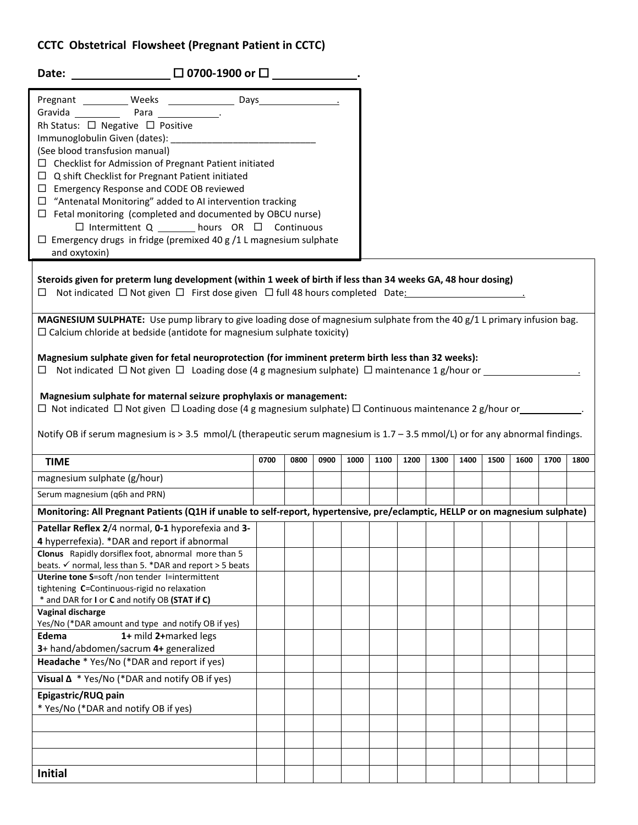## **CCTC Obstetrical Flowsheet (Pregnant Patient in CCTC)**

**Initial**

| Date: $\square$ 0700-1900 or $\square$                                                                                                                                                                                                                                                                                                                                                                                                                                                                                                                                                                                                              |                   |      |      |      |      |      |      |      |      |      |      |      |
|-----------------------------------------------------------------------------------------------------------------------------------------------------------------------------------------------------------------------------------------------------------------------------------------------------------------------------------------------------------------------------------------------------------------------------------------------------------------------------------------------------------------------------------------------------------------------------------------------------------------------------------------------------|-------------------|------|------|------|------|------|------|------|------|------|------|------|
| Pregnant ___________ Weeks _________________ Days_______________________________<br>Gravida Para Para<br>Rh Status: □ Negative □ Positive<br>(See blood transfusion manual)<br>$\Box$ Checklist for Admission of Pregnant Patient initiated<br>$\Box$ Q shift Checklist for Pregnant Patient initiated<br>□ Emergency Response and CODE OB reviewed<br>$\Box$ "Antenatal Monitoring" added to AI intervention tracking<br>$\Box$ Fetal monitoring (completed and documented by OBCU nurse)<br>$\Box$ Intermittent Q ________ hours OR $\Box$ Continuous<br>$\Box$ Emergency drugs in fridge (premixed 40 g /1 L magnesium sulphate<br>and oxytoxin) |                   |      |      |      |      |      |      |      |      |      |      |      |
| Steroids given for preterm lung development (within 1 week of birth if less than 34 weeks GA, 48 hour dosing)<br>$\Box$ Not indicated $\Box$ Not given $\Box$ First dose given $\Box$ full 48 hours completed Date:                                                                                                                                                                                                                                                                                                                                                                                                                                 |                   |      |      |      |      |      |      |      |      |      |      |      |
| MAGNESIUM SULPHATE: Use pump library to give loading dose of magnesium sulphate from the 40 g/1 L primary infusion bag.<br>$\Box$ Calcium chloride at bedside (antidote for magnesium sulphate toxicity)                                                                                                                                                                                                                                                                                                                                                                                                                                            |                   |      |      |      |      |      |      |      |      |      |      |      |
| Magnesium sulphate given for fetal neuroprotection (for imminent preterm birth less than 32 weeks):<br>$\Box$ Not indicated $\Box$ Not given $\Box$ Loading dose (4 g magnesium sulphate) $\Box$ maintenance 1 g/hour or<br>Magnesium sulphate for maternal seizure prophylaxis or management:<br>□ Not indicated □ Not given □ Loading dose (4 g magnesium sulphate) □ Continuous maintenance 2 g/hour or____________<br>Notify OB if serum magnesium is > 3.5 mmol/L (therapeutic serum magnesium is 1.7 - 3.5 mmol/L) or for any abnormal findings.                                                                                              |                   |      |      |      |      |      |      |      |      |      |      |      |
| <b>TIME</b>                                                                                                                                                                                                                                                                                                                                                                                                                                                                                                                                                                                                                                         | $\overline{07}00$ | 0800 | 0900 | 1000 | 1100 | 1200 | 1300 | 1400 | 1500 | 1600 | 1700 | 1800 |
| magnesium sulphate (g/hour)                                                                                                                                                                                                                                                                                                                                                                                                                                                                                                                                                                                                                         |                   |      |      |      |      |      |      |      |      |      |      |      |
| Serum magnesium (q6h and PRN)                                                                                                                                                                                                                                                                                                                                                                                                                                                                                                                                                                                                                       |                   |      |      |      |      |      |      |      |      |      |      |      |
| Monitoring: All Pregnant Patients (Q1H if unable to self-report, hypertensive, pre/eclamptic, HELLP or on magnesium sulphate)                                                                                                                                                                                                                                                                                                                                                                                                                                                                                                                       |                   |      |      |      |      |      |      |      |      |      |      |      |
| Patellar Reflex 2/4 normal, 0-1 hyporefexia and 3-<br>and 3-<br>and a latellar Reflex 2/4 normal, 0-1 hyporefexia and 3-<br>and 3-<br>and 1 and 1 and 1 and 1 and 1 and 1 and 1 and 1 and 1 and 1 and 1 and 1 and 1 and 1 and 1 and 1                                                                                                                                                                                                                                                                                                                                                                                                               |                   |      |      |      |      |      |      |      |      |      |      |      |
| 4 hyperrefexia). *DAR and report if abnormal                                                                                                                                                                                                                                                                                                                                                                                                                                                                                                                                                                                                        |                   |      |      |      |      |      |      |      |      |      |      |      |
| Clonus Rapidly dorsiflex foot, abnormal more than 5<br>beats. $\checkmark$ normal, less than 5. *DAR and report > 5 beats                                                                                                                                                                                                                                                                                                                                                                                                                                                                                                                           |                   |      |      |      |      |      |      |      |      |      |      |      |
| Uterine tone S=soft /non tender l=intermittent                                                                                                                                                                                                                                                                                                                                                                                                                                                                                                                                                                                                      |                   |      |      |      |      |      |      |      |      |      |      |      |
| tightening C=Continuous-rigid no relaxation                                                                                                                                                                                                                                                                                                                                                                                                                                                                                                                                                                                                         |                   |      |      |      |      |      |      |      |      |      |      |      |
| * and DAR for I or C and notify OB (STAT if C)<br>Vaginal discharge                                                                                                                                                                                                                                                                                                                                                                                                                                                                                                                                                                                 |                   |      |      |      |      |      |      |      |      |      |      |      |
| Yes/No (*DAR amount and type and notify OB if yes)                                                                                                                                                                                                                                                                                                                                                                                                                                                                                                                                                                                                  |                   |      |      |      |      |      |      |      |      |      |      |      |
| 1+ mild 2+marked legs<br>Edema                                                                                                                                                                                                                                                                                                                                                                                                                                                                                                                                                                                                                      |                   |      |      |      |      |      |      |      |      |      |      |      |
| 3+ hand/abdomen/sacrum 4+ generalized                                                                                                                                                                                                                                                                                                                                                                                                                                                                                                                                                                                                               |                   |      |      |      |      |      |      |      |      |      |      |      |
| Headache * Yes/No (*DAR and report if yes)                                                                                                                                                                                                                                                                                                                                                                                                                                                                                                                                                                                                          |                   |      |      |      |      |      |      |      |      |      |      |      |
| Visual $\Delta$ * Yes/No (*DAR and notify OB if yes)                                                                                                                                                                                                                                                                                                                                                                                                                                                                                                                                                                                                |                   |      |      |      |      |      |      |      |      |      |      |      |
| Epigastric/RUQ pain<br>* Yes/No (*DAR and notify OB if yes)                                                                                                                                                                                                                                                                                                                                                                                                                                                                                                                                                                                         |                   |      |      |      |      |      |      |      |      |      |      |      |
|                                                                                                                                                                                                                                                                                                                                                                                                                                                                                                                                                                                                                                                     |                   |      |      |      |      |      |      |      |      |      |      |      |
|                                                                                                                                                                                                                                                                                                                                                                                                                                                                                                                                                                                                                                                     |                   |      |      |      |      |      |      |      |      |      |      |      |
|                                                                                                                                                                                                                                                                                                                                                                                                                                                                                                                                                                                                                                                     |                   |      |      |      |      |      |      |      |      |      |      |      |